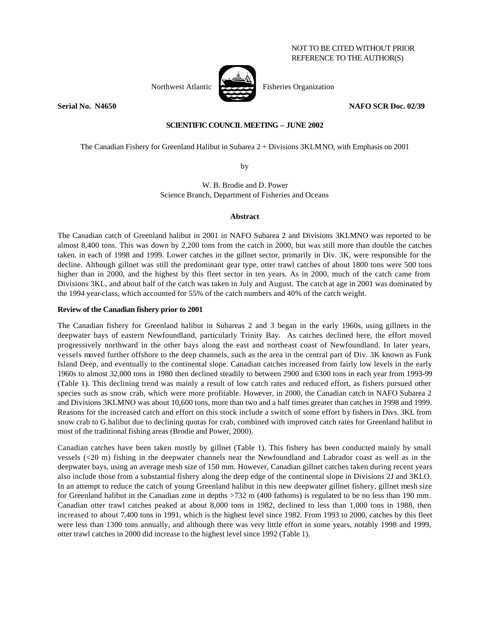# NOT TO BE CITED WITHOUT PRIOR REFERENCE TO THE AUTHOR(S)





Northwest Atlantic **Research Fisheries Organization** 

**Serial No. N4650 NAFO SCR Doc. 02/39**

## **SCIENTIFIC COUNCIL MEETING – JUNE 2002**

The Canadian Fishery for Greenland Halibut in Subarea 2 + Divisions 3KLMNO, with Emphasis on 2001

by

W. B. Brodie and D. Power Science Branch, Department of Fisheries and Oceans

### **Abstract**

The Canadian catch of Greenland halibut in 2001 in NAFO Subarea 2 and Divisions 3KLMNO was reported to be almost 8,400 tons. This was down by 2,200 tons from the catch in 2000, but was still more than double the catches taken. in each of 1998 and 1999. Lower catches in the gillnet sector, primarily in Div. 3K, were responsible for the decline. Although gillnet was still the predominant gear type, otter trawl catches of about 1800 tons were 500 tons higher than in 2000, and the highest by this fleet sector in ten years. As in 2000, much of the catch came from Divisions 3KL, and about half of the catch was taken in July and August. The catch at age in 2001 was dominated by the 1994 year-class, which accounted for 55% of the catch numbers and 40% of the catch weight.

### **Review of the Canadian fishery prior to 2001**

The Canadian fishery for Greenland halibut in Subareas 2 and 3 began in the early 1960s, using gillnets in the deepwater bays of eastern Newfoundland, particularly Trinity Bay. As catches declined here, the effort moved progressively northward in the other bays along the east and northeast coast of Newfoundland. In later years, vessels moved further offshore to the deep channels, such as the area in the central part of Div. 3K known as Funk Island Deep, and eventually to the continental slope. Canadian catches increased from fairly low levels in the early 1960s to almost 32,000 tons in 1980 then declined steadily to between 2900 and 6300 tons in each year from 1993-99 (Table 1). This declining trend was mainly a result of low catch rates and reduced effort, as fishers pursued other species such as snow crab, which were more profitable. However, in 2000, the Canadian catch in NAFO Subarea 2 and Divisions 3KLMNO was about 10,600 tons, more than two and a half times greater than catches in 1998 and 1999. Reasons for the increased catch and effort on this stock include a switch of some effort by fishers in Divs. 3KL from snow crab to G.halibut due to declining quotas for crab, combined with improved catch rates for Greenland halibut in most of the traditional fishing areas (Brodie and Power, 2000).

Canadian catches have been taken mostly by gillnet (Table 1). This fishery has been conducted mainly by small vessels (<20 m) fishing in the deepwater channels near the Newfoundland and Labrador coast as well as in the deepwater bays, using an average mesh size of 150 mm. However, Canadian gillnet catches taken during recent years also include those from a substantial fishery along the deep edge of the continental slope in Divisions 2J and 3KLO. In an attempt to reduce the catch of young Greenland halibut in this new deepwater gillnet fishery, gillnet mesh size for Greenland halibut in the Canadian zone in depths >732 m (400 fathoms) is regulated to be no less than 190 mm. Canadian otter trawl catches peaked at about 8,000 tons in 1982, declined to less than 1,000 tons in 1988, then increased to about 7,400 tons in 1991, which is the highest level since 1982. From 1993 to 2000, catches by this fleet were less than 1300 tons annually, and although there was very little effort in some years, notably 1998 and 1999, otter trawl catches in 2000 did increase to the highest level since 1992 (Table 1).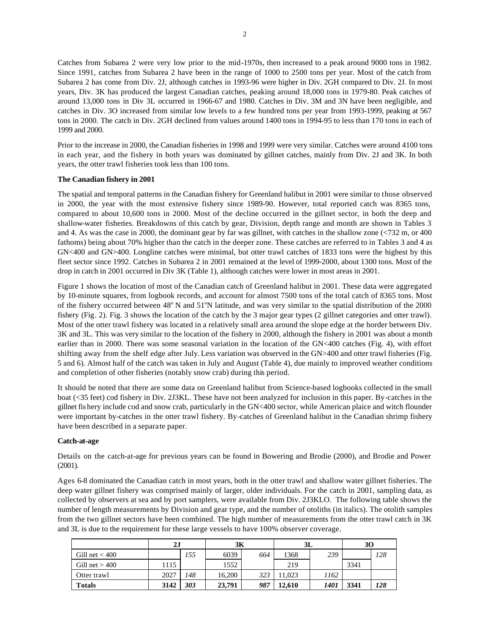Catches from Subarea 2 were very low prior to the mid-1970s, then increased to a peak around 9000 tons in 1982. Since 1991, catches from Subarea 2 have been in the range of 1000 to 2500 tons per year. Most of the catch from Subarea 2 has come from Div. 2J, although catches in 1993-96 were higher in Div. 2GH compared to Div. 2J. In most years, Div. 3K has produced the largest Canadian catches, peaking around 18,000 tons in 1979-80. Peak catches of around 13,000 tons in Div 3L occurred in 1966-67 and 1980. Catches in Div. 3M and 3N have been negligible, and catches in Div. 3O increased from similar low levels to a few hundred tons per year from 1993-1999, peaking at 567 tons in 2000. The catch in Div. 2GH declined from values around 1400 tons in 1994-95 to less than 170 tons in each of 1999 and 2000.

Prior to the increase in 2000, the Canadian fisheries in 1998 and 1999 were very similar. Catches were around 4100 tons in each year, and the fishery in both years was dominated by gillnet catches, mainly from Div. 2J and 3K. In both years, the otter trawl fisheries took less than 100 tons.

### **The Canadian fishery in 2001**

The spatial and temporal patterns in the Canadian fishery for Greenland halibut in 2001 were similar to those observed in 2000, the year with the most extensive fishery since 1989-90. However, total reported catch was 8365 tons, compared to about 10,600 tons in 2000. Most of the decline occurred in the gillnet sector, in both the deep and shallow-water fisheries. Breakdowns of this catch by gear, Division, depth range and month are shown in Tables 3 and 4. As was the case in 2000, the dominant gear by far was gillnet, with catches in the shallow zone (<732 m, or 400 fathoms) being about 70% higher than the catch in the deeper zone. These catches are referred to in Tables 3 and 4 as GN<400 and GN>400. Longline catches were minimal, but otter trawl catches of 1833 tons were the highest by this fleet sector since 1992. Catches in Subarea 2 in 2001 remained at the level of 1999-2000, about 1300 tons. Most of the drop in catch in 2001 occurred in Div 3K (Table 1), although catches were lower in most areas in 2001.

Figure 1 shows the location of most of the Canadian catch of Greenland halibut in 2001. These data were aggregated by 10-minute squares, from logbook records, and account for almost 7500 tons of the total catch of 8365 tons. Most of the fishery occurred between  $48^{\circ}$  N and  $51^{\circ}$ N latitude, and was very similar to the spatial distribution of the 2000 fishery (Fig. 2). Fig. 3 shows the location of the catch by the 3 major gear types (2 gillnet categories and otter trawl). Most of the otter trawl fishery was located in a relatively small area around the slope edge at the border between Div. 3K and 3L. This was very similar to the location of the fishery in 2000, although the fishery in 2001 was about a month earlier than in 2000. There was some seasonal variation in the location of the GN<400 catches (Fig. 4), with effort shifting away from the shelf edge after July. Less variation was observed in the GN>400 and otter trawl fisheries (Fig. 5 and 6). Almost half of the catch was taken in July and August (Table 4), due mainly to improved weather conditions and completion of other fisheries (notably snow crab) during this period.

It should be noted that there are some data on Greenland halibut from Science-based logbooks collected in the small boat (<35 feet) cod fishery in Div. 2J3KL. These have not been analyzed for inclusion in this paper. By-catches in the gillnet fis hery include cod and snow crab, particularly in the GN<400 sector, while American plaice and witch flounder were important by-catches in the otter trawl fishery. By-catches of Greenland halibut in the Canadian shrimp fishery have been described in a separate paper.

### **Catch-at-age**

Details on the catch-at-age for previous years can be found in Bowering and Brodie (2000), and Brodie and Power (2001).

Ages 6-8 dominated the Canadian catch in most years, both in the otter trawl and shallow water gillnet fisheries. The deep water gillnet fishery was comprised mainly of larger, older individuals. For the catch in 2001, sampling data, as collected by observers at sea and by port samplers, were available from Div. 2J3KLO. The following table shows the number of length measurements by Division and gear type, and the number of otoliths (in italics). The otolith samples from the two gillnet sectors have been combined. The high number of measurements from the otter trawl catch in 3K and 3L is due to the requirement for these large vessels to have 100% observer coverage.

|                  | 2J   |     | 3К     |     | 3L     |      | 30   |     |
|------------------|------|-----|--------|-----|--------|------|------|-----|
| Gill net $<$ 400 |      | 155 | 6039   | 664 | 1368   | 239  |      | 128 |
| Gill net $>400$  | 1115 |     | 1552   |     | 219    |      | 3341 |     |
| Otter trawl      | 2027 | 148 | 16.200 | 323 | 1.023  | 1162 |      |     |
| <b>Totals</b>    | 3142 | 303 | 23,791 | 987 | 12.610 | 1401 | 3341 | 128 |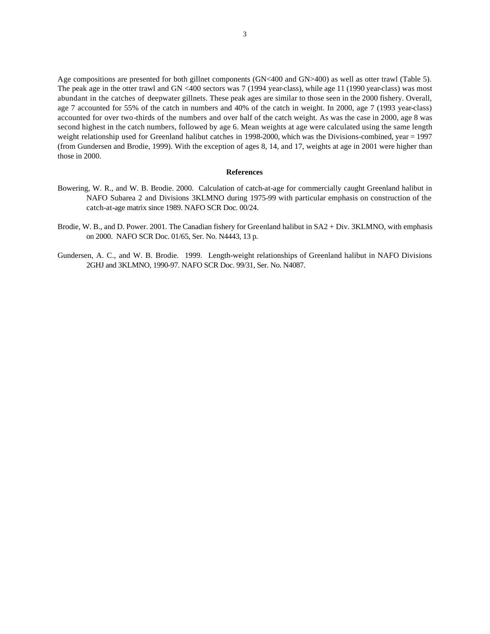Age compositions are presented for both gillnet components (GN<400 and GN>400) as well as otter trawl (Table 5). The peak age in the otter trawl and GN <400 sectors was 7 (1994 year-class), while age 11 (1990 year-class) was most abundant in the catches of deepwater gillnets. These peak ages are similar to those seen in the 2000 fishery. Overall, age 7 accounted for 55% of the catch in numbers and 40% of the catch in weight. In 2000, age 7 (1993 year-class) accounted for over two-thirds of the numbers and over half of the catch weight. As was the case in 2000, age 8 was second highest in the catch numbers, followed by age 6. Mean weights at age were calculated using the same length weight relationship used for Greenland halibut catches in 1998-2000, which was the Divisions-combined, year = 1997 (from Gundersen and Brodie, 1999). With the exception of ages 8, 14, and 17, weights at age in 2001 were higher than those in 2000.

#### **References**

- Bowering, W. R., and W. B. Brodie. 2000. Calculation of catch-at-age for commercially caught Greenland halibut in NAFO Subarea 2 and Divisions 3KLMNO during 1975-99 with particular emphasis on construction of the catch-at-age matrix since 1989. NAFO SCR Doc. 00/24.
- Brodie, W. B., and D. Power. 2001. The Canadian fishery for Greenland halibut in SA2 + Div. 3KLMNO, with emphasis on 2000. NAFO SCR Doc. 01/65, Ser. No. N4443, 13 p.
- Gundersen, A. C., and W. B. Brodie. 1999. Length-weight relationships of Greenland halibut in NAFO Divisions 2GHJ and 3KLMNO, 1990-97. NAFO SCR Doc. 99/31, Ser. No. N4087.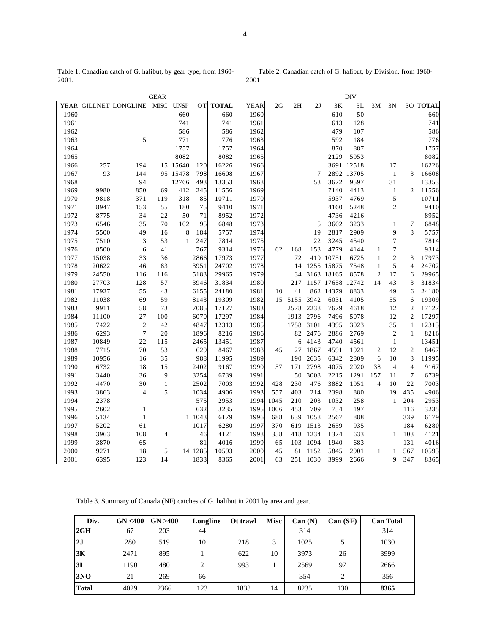Table 1. Canadian catch of G. halibut, by gear type, from 1960- 2001.

 Table 2. Canadian catch of G. halibut, by Division, from 1960- 2001.

|      | <b>GEAR</b><br>DIV. |                         |              |             |         |              |  |             |      |      |      |            |            |                |                  |                |              |
|------|---------------------|-------------------------|--------------|-------------|---------|--------------|--|-------------|------|------|------|------------|------------|----------------|------------------|----------------|--------------|
| YEAR |                     | <b>GILLNET LONGLINE</b> | <b>MISC</b>  | <b>UNSP</b> | OТ      | <b>TOTAL</b> |  | <b>YEAR</b> | 2G   | 2H   | 2J   | 3K         | 3L         | 3M             | 3N               | 3O             | <b>TOTAL</b> |
| 1960 |                     |                         |              | 660         |         | 660          |  | 1960        |      |      |      | 610        | 50         |                |                  |                | 660          |
| 1961 |                     |                         |              | 741         |         | 741          |  | 1961        |      |      |      | 613        | 128        |                |                  |                | 741          |
| 1962 |                     |                         |              | 586         |         | 586          |  | 1962        |      |      |      | 479        | 107        |                |                  |                | 586          |
| 1963 |                     | 5                       |              | 771         |         | 776          |  | 1963        |      |      |      | 592        | 184        |                |                  |                | 776          |
| 1964 |                     |                         |              | 1757        |         | 1757         |  | 1964        |      |      |      | 870        | 887        |                |                  |                | 1757         |
| 1965 |                     |                         |              | 8082        |         | 8082         |  | 1965        |      |      |      | 2129       | 5953       |                |                  |                | 8082         |
| 1966 | 257                 | 194                     |              | 15 15 640   | 120     | 16226        |  | 1966        |      |      |      |            | 3691 12518 |                | 17               |                | 16226        |
| 1967 | 93                  | 144                     |              | 95 15478    | 798     | 16608        |  | 1967        |      |      | 7    |            | 2892 13705 |                | $\mathbf{1}$     | 3              | 16608        |
| 1968 |                     | 94                      |              | 12766       | 493     | 13353        |  | 1968        |      |      | 53   | 3672       | 9597       |                | 31               |                | 13353        |
| 1969 | 9980                | 850                     | 69           | 412         | 245     | 11556        |  | 1969        |      |      |      | 7140       | 4413       |                | $\mathbf{1}$     | $\overline{2}$ | 11556        |
| 1970 | 9818                | 371                     | 119          | 318         | 85      | 10711        |  | 1970        |      |      |      | 5937       | 4769       |                | 5                |                | 10711        |
| 1971 | 8947                | 153                     | 55           | 180         | 75      | 9410         |  | 1971        |      |      |      | 4160       | 5248       |                | $\overline{c}$   |                | 9410         |
| 1972 | 8775                | 34                      | 22           | 50          | 71      | 8952         |  | 1972        |      |      |      | 4736       | 4216       |                |                  |                | 8952         |
| 1973 | 6546                | 35                      | 70           | 102         | 95      | 6848         |  | 1973        |      |      | 5    | 3602       | 3233       |                | 1                | 7              | 6848         |
| 1974 | 5500                | 49                      | 16           | 8           | 184     | 5757         |  | 1974        |      |      | 19   | 2817       | 2909       |                | 9                | 3              | 5757         |
| 1975 | 7510                | $\mathfrak z$           | 53           | 1           | 247     | 7814         |  | 1975        |      |      | 22   | 3245       | 4540       |                | $\boldsymbol{7}$ |                | 7814         |
| 1976 | 8500                | 6                       | 41           |             | 767     | 9314         |  | 1976        | 62   | 168  | 153  | 4779       | 4144       | 1              | 7                |                | 9314         |
| 1977 | 15038               | 33                      | 36           |             | 2866    | 17973        |  | 1977        |      | 72   |      | 419 10751  | 6725       | $\mathbf{1}$   | $\sqrt{2}$       | 3              | 17973        |
| 1978 | 20622               | 46                      | 83           |             | 3951    | 24702        |  | 1978        |      | 14   |      | 1255 15875 | 7548       | $\mathbf{1}$   | 5                | 4              | 24702        |
| 1979 | 24550               | 116                     | 116          |             | 5183    | 29965        |  | 1979        |      | 34   |      | 3163 18165 | 8578       | 2              | 17               | 6              | 29965        |
| 1980 | 27703               | 128                     | 57           |             | 3946    | 31834        |  | 1980        |      | 217  |      | 1157 17658 | 12742      | 14             | 43               | 3              | 31834        |
| 1981 | 17927               | 55                      | 43           |             | 6155    | 24180        |  | 1981        | 10   | 41   |      | 862 14379  | 8833       |                | 49               | 6              | 24180        |
| 1982 | 11038               | 69                      | 59           |             | 8143    | 19309        |  | 1982        | 15   | 5155 | 3942 | 6031       | 4105       |                | 55               | 6              | 19309        |
| 1983 | 9911                | 58                      | 73           |             | 7085    | 17127        |  | 1983        |      | 2578 | 2238 | 7679       | 4618       |                | 12               | $\overline{2}$ | 17127        |
| 1984 | 11100               | 27                      | 100          |             | 6070    | 17297        |  | 1984        |      | 1913 | 2796 | 7496       | 5078       |                | 12               | $\overline{c}$ | 17297        |
| 1985 | 7422                | $\sqrt{2}$              | 42           |             | 4847    | 12313        |  | 1985        |      | 1758 | 3101 | 4395       | 3023       |                | 35               | 1              | 12313        |
| 1986 | 6293                | $\boldsymbol{7}$        | 20           |             | 1896    | 8216         |  | 1986        |      | 82   | 2476 | 2886       | 2769       |                | $\mathbf{2}$     | 1              | 8216         |
| 1987 | 10849               | 22                      | 115          |             | 2465    | 13451        |  | 1987        |      | 6    | 4143 | 4740       | 4561       |                | $\mathbf{1}$     |                | 13451        |
| 1988 | 7715                | 70                      | 53           |             | 629     | 8467         |  | 1988        | 45   | 27   | 1867 | 4591       | 1921       | 2              | 12               | $\mathfrak{2}$ | 8467         |
| 1989 | 10956               | 16                      | 35           |             | 988     | 11995        |  | 1989        |      | 190  | 2635 | 6342       | 2809       | 6              | 10               | 3              | 11995        |
| 1990 | 6732                | 18                      | 15           |             | 2402    | 9167         |  | 1990        | 57   | 171  | 2798 | 4075       | 2020       | 38             | $\overline{4}$   | 4              | 9167         |
| 1991 | 3440                | 36                      | 9            |             | 3254    | 6739         |  | 1991        |      | 50   | 3008 | 2215       | 1291       | 157            | 11               | $\tau$         | 6739         |
| 1992 | 4470                | 30                      | $\mathbf{1}$ |             | 2502    | 7003         |  | 1992        | 428  | 230  | 476  | 3882       | 1951       | $\overline{4}$ | 10               | 22             | 7003         |
| 1993 | 3863                | 4                       | 5            |             | 1034    | 4906         |  | 1993        | 557  | 403  | 214  | 2398       | 880        |                | 19               | 435            | 4906         |
| 1994 | 2378                |                         |              |             | 575     | 2953         |  | 1994        | 1045 | 210  | 203  | 1032       | 258        |                | $\mathbf{1}$     | 204            | 2953         |
| 1995 | 2602                | $\mathbf{1}$            |              |             | 632     | 3235         |  | 1995        | 1006 | 453  | 709  | 754        | 197        |                |                  | 116            | 3235         |
| 1996 | 5134                | $\mathbf{1}$            |              |             | 1 1043  | 6179         |  | 1996        | 688  | 639  | 1058 | 2567       | 888        |                |                  | 339            | 6179         |
| 1997 | 5202                | 61                      |              |             | 1017    | 6280         |  | 1997        | 370  | 619  | 1513 | 2659       | 935        |                |                  | 184            | 6280         |
| 1998 | 3963                | 108                     | 4            |             | 46      | 4121         |  | 1998        | 358  | 418  | 1234 | 1374       | 633        |                | 1                | 103            | 4121         |
| 1999 | 3870                | 65                      |              |             | 81      | 4016         |  | 1999        | 65   | 103  | 1094 | 1940       | 683        |                |                  | 131            | 4016         |
| 2000 | 9271                | 18                      | 5            |             | 14 1285 | 10593        |  | 2000        | 45   | 81   | 1152 | 5845       | 2901       | 1              | 1                | 567            | 10593        |
| 2001 | 6395                | 123                     | 14           |             | 1833    | 8365         |  | 2001        | 63   | 251  | 1030 | 3999       | 2666       |                | 9                | 347            | 8365         |

Table 3. Summary of Canada (NF) catches of G. halibut in 2001 by area and gear.

| Div.         | GN < 400 | GN > 400 | Longline | Ot trawl | <b>Misc</b> | Can(N) | Can(SF) | <b>Can Total</b> |
|--------------|----------|----------|----------|----------|-------------|--------|---------|------------------|
| 2GH          | 67       | 203      | 44       |          |             | 314    |         | 314              |
| 2J           | 280      | 519      | 10       | 218      | 3           | 1025   | 5       | 1030             |
| 3K           | 2471     | 895      |          | 622      | 10          | 3973   | 26      | 3999             |
| 3L           | 1190     | 480      | 2        | 993      |             | 2569   | 97      | 2666             |
| 3NO          | 21       | 269      | 66       |          |             | 354    | 2       | 356              |
| <b>Total</b> | 4029     | 2366     | 123      | 1833     | 14          | 8235   | 130     | 8365             |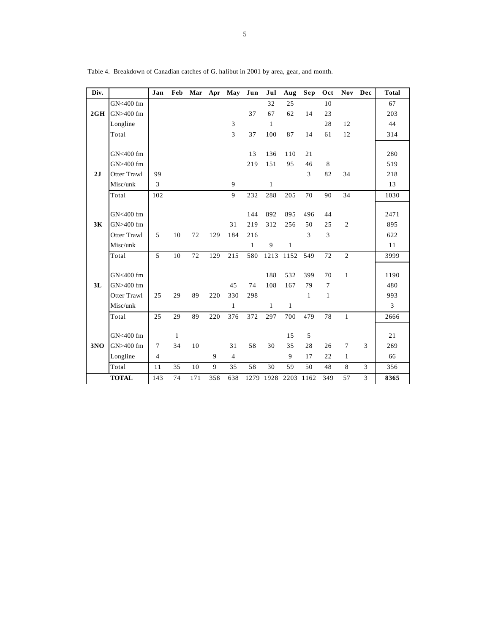| Div. |              | Jan            | Feb |     |     | Mar Apr May    | Jun          | Jul          | Aug          | Sep          | Oct            |                | Nov Dec | <b>Total</b> |
|------|--------------|----------------|-----|-----|-----|----------------|--------------|--------------|--------------|--------------|----------------|----------------|---------|--------------|
|      | GN<400 fm    |                |     |     |     |                |              | 32           | 25           |              | 10             |                |         | 67           |
| 2GH  | GN>400 fm    |                |     |     |     |                | 37           | 67           | 62           | 14           | 23             |                |         | 203          |
|      | Longline     |                |     |     |     | 3              |              | $\mathbf{1}$ |              |              | 28             | 12             |         | 44           |
|      | Total        |                |     |     |     | 3              | 37           | 100          | 87           | 14           | 61             | 12             |         | 314          |
|      |              |                |     |     |     |                |              |              |              |              |                |                |         |              |
|      | GN<400 fm    |                |     |     |     |                | 13           | 136          | 110          | 21           |                |                |         | 280          |
|      | GN>400 fm    |                |     |     |     |                | 219          | 151          | 95           | 46           | 8              |                |         | 519          |
| 2J   | Otter Trawl  | 99             |     |     |     |                |              |              |              | 3            | 82             | 34             |         | 218          |
|      | Misc/unk     | 3              |     |     |     | 9              |              | $\mathbf{1}$ |              |              |                |                |         | 13           |
|      | Total        | 102            |     |     |     | 9              | 232          | 288          | 205          | 70           | 90             | 34             |         | 1030         |
|      |              |                |     |     |     |                |              |              |              |              |                |                |         |              |
|      | GN<400 fm    |                |     |     |     |                | 144          | 892          | 895          | 496          | 44             |                |         | 2471         |
| 3K   | GN>400 fm    |                |     |     |     | 31             | 219          | 312          | 256          | 50           | 25             | $\overline{c}$ |         | 895          |
|      | Otter Trawl  | 5              | 10  | 72  | 129 | 184            | 216          |              |              | 3            | 3              |                |         | 622          |
|      | Misc/unk     |                |     |     |     |                | $\mathbf{1}$ | 9            | $\mathbf{1}$ |              |                |                |         | 11           |
|      | Total        | 5              | 10  | 72  | 129 | 215            | 580          | 1213         | 1152         | 549          | 72             | $\overline{2}$ |         | 3999         |
|      |              |                |     |     |     |                |              |              |              |              |                |                |         |              |
|      | GN<400 fm    |                |     |     |     |                |              | 188          | 532          | 399          | 70             | $\mathbf{1}$   |         | 1190         |
| 3L   | GN>400 fm    |                |     |     |     | 45             | 74           | 108          | 167          | 79           | $\overline{7}$ |                |         | 480          |
|      | Otter Trawl  | 25             | 29  | 89  | 220 | 330            | 298          |              |              | $\mathbf{1}$ | $\mathbf{1}$   |                |         | 993          |
|      | Misc/unk     |                |     |     |     | $\mathbf{1}$   |              | $\mathbf{1}$ | $\mathbf{1}$ |              |                |                |         | 3            |
|      | Total        | 25             | 29  | 89  | 220 | 376            | 372          | 297          | 700          | 479          | 78             | $\mathbf{1}$   |         | 2666         |
|      |              |                |     |     |     |                |              |              |              |              |                |                |         |              |
|      | GN<400 fm    |                | 1   |     |     |                |              |              | 15           | 5            |                |                |         | 21           |
| 3NO  | GN>400 fm    | $\overline{7}$ | 34  | 10  |     | 31             | 58           | 30           | 35           | 28           | 26             | 7              | 3       | 269          |
|      | Longline     | 4              |     |     | 9   | $\overline{4}$ |              |              | 9            | 17           | 22             | $\mathbf{1}$   |         | 66           |
|      | Total        | 11             | 35  | 10  | 9   | 35             | 58           | 30           | 59           | 50           | 48             | 8              | 3       | 356          |
|      | <b>TOTAL</b> | 143            | 74  | 171 | 358 | 638            |              | 1279 1928    | 2203         | 1162         | 349            | 57             | 3       | 8365         |

Table 4. Breakdown of Canadian catches of G. halibut in 2001 by area, gear, and month.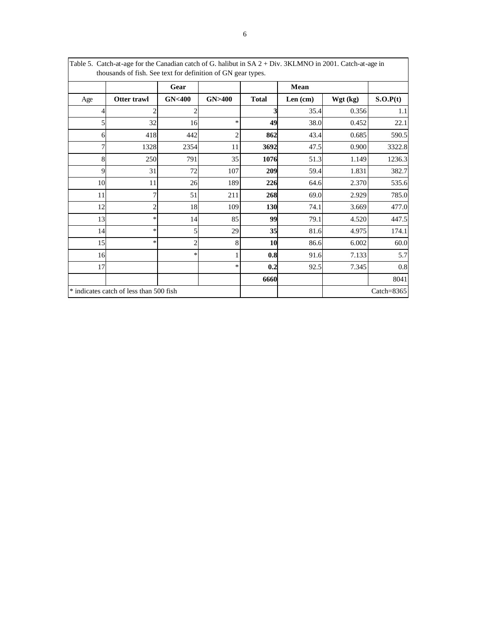| Table 5. Catch-at-age for the Canadian catch of G. halibut in SA 2 + Div. 3KLMNO in 2001. Catch-at-age in<br>thousands of fish. See text for definition of GN gear types. |                                         |                  |        |              |         |          |               |  |  |  |
|---------------------------------------------------------------------------------------------------------------------------------------------------------------------------|-----------------------------------------|------------------|--------|--------------|---------|----------|---------------|--|--|--|
|                                                                                                                                                                           |                                         | Gear             |        |              | Mean    |          |               |  |  |  |
| Age                                                                                                                                                                       | Otter trawl                             | <b>GN&lt;400</b> | GN>400 | <b>Total</b> | Len(cm) | Wgt (kg) | S.O.P(t)      |  |  |  |
| 4                                                                                                                                                                         | $\mathcal{D}$                           | 2                |        | 3            | 35.4    | 0.356    | 1.1           |  |  |  |
| 5                                                                                                                                                                         | 32                                      | 16               | *      | 49           | 38.0    | 0.452    | 22.1          |  |  |  |
| 6                                                                                                                                                                         | 418                                     | 442              | 2      | 862          | 43.4    | 0.685    | 590.5         |  |  |  |
| 7                                                                                                                                                                         | 1328                                    | 2354             | 11     | 3692         | 47.5    | 0.900    | 3322.8        |  |  |  |
| 8                                                                                                                                                                         | 250                                     | 791              | 35     | 1076         | 51.3    | 1.149    | 1236.3        |  |  |  |
| 9                                                                                                                                                                         | 31                                      | 72               | 107    | 209          | 59.4    | 1.831    | 382.7         |  |  |  |
| 10                                                                                                                                                                        | 11                                      | 26               | 189    | 226          | 64.6    | 2.370    | 535.6         |  |  |  |
| 11                                                                                                                                                                        | 7                                       | 51               | 211    | 268          | 69.0    | 2.929    | 785.0         |  |  |  |
| 12                                                                                                                                                                        | $\overline{c}$                          | 18               | 109    | 130          | 74.1    | 3.669    | 477.0         |  |  |  |
| 13                                                                                                                                                                        | *                                       | 14               | 85     | 99           | 79.1    | 4.520    | 447.5         |  |  |  |
| 14                                                                                                                                                                        | $\ast$                                  | 5                | 29     | 35           | 81.6    | 4.975    | 174.1         |  |  |  |
| 15                                                                                                                                                                        | $\ast$                                  | $\overline{c}$   | 8      | 10           | 86.6    | 6.002    | 60.0          |  |  |  |
| 16                                                                                                                                                                        |                                         | *                |        | 0.8          | 91.6    | 7.133    | 5.7           |  |  |  |
| 17                                                                                                                                                                        |                                         |                  | ∗      | 0.2          | 92.5    | 7.345    | 0.8           |  |  |  |
|                                                                                                                                                                           |                                         |                  |        | 6660         |         |          | 8041          |  |  |  |
|                                                                                                                                                                           | * indicates catch of less than 500 fish |                  |        |              |         |          | Catch= $8365$ |  |  |  |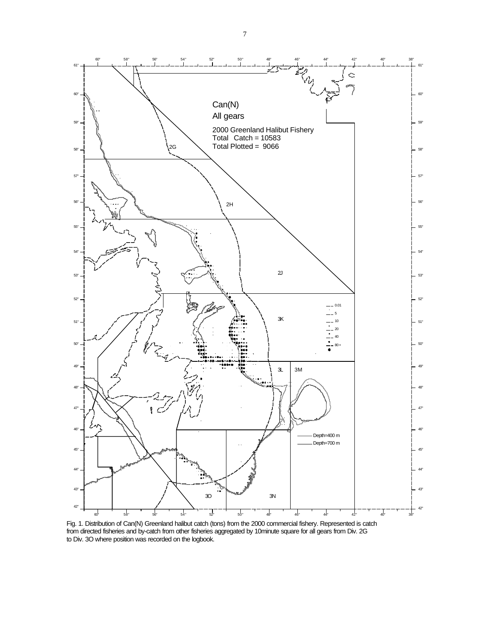

Fig. 1. Distribution of Can(N) Greenland halibut catch (tons) from the 2000 commercial fishery. Represented is catch from directed fisheries and by-catch from other fisheries aggregated by 10minute square for all gears from Div. 2G to Div. 3O where position was recorded on the logbook.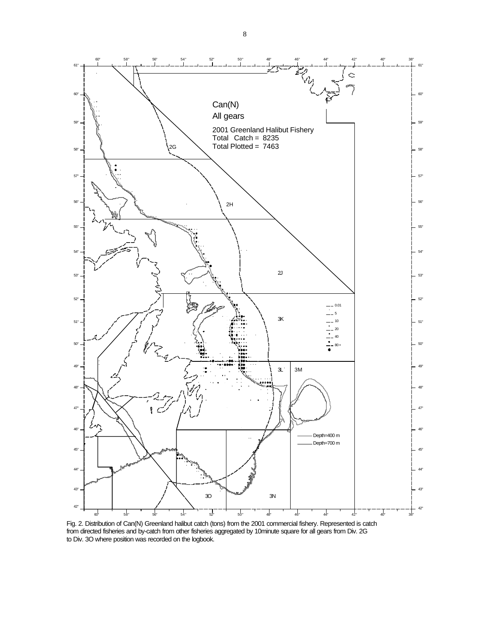

Fig. 2. Distribution of Can(N) Greenland halibut catch (tons) from the 2001 commercial fishery. Represented is catch from directed fisheries and by-catch from other fisheries aggregated by 10minute square for all gears from Div. 2G to Div. 3O where position was recorded on the logbook.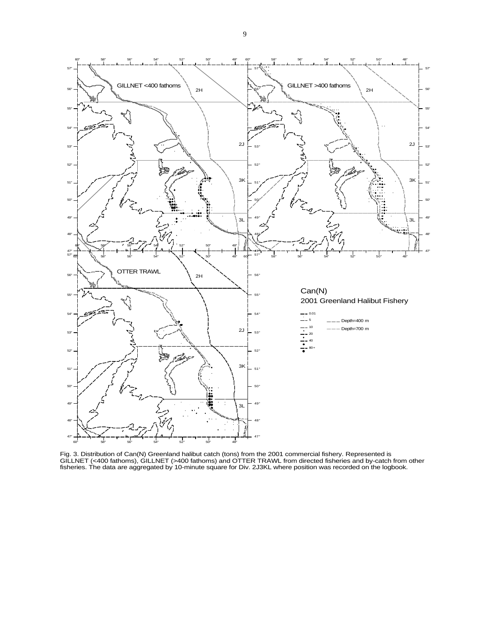

Fig. 3. Distribution of Can(N) Greenland halibut catch (tons) from the 2001 commercial fishery. Represented is GILLNET (<400 fathoms), GILLNET (>400 fathoms) and OTTER TRAWL from directed fisheries and by-catch from other fisheries. The data are aggregated by 10-minute square for Div. 2J3KL where position was recorded on the logbook.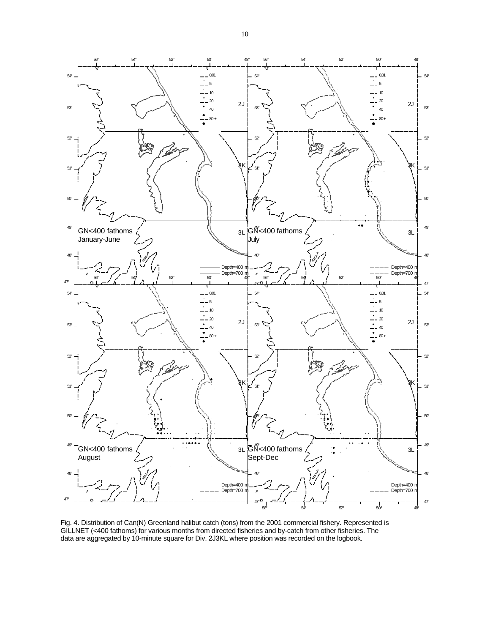

Fig. 4. Distribution of Can(N) Greenland halibut catch (tons) from the 2001 commercial fishery. Represented is GILLNET (<400 fathoms) for various months from directed fisheries and by-catch from other fisheries. The data are aggregated by 10-minute square for Div. 2J3KL where position was recorded on the logbook.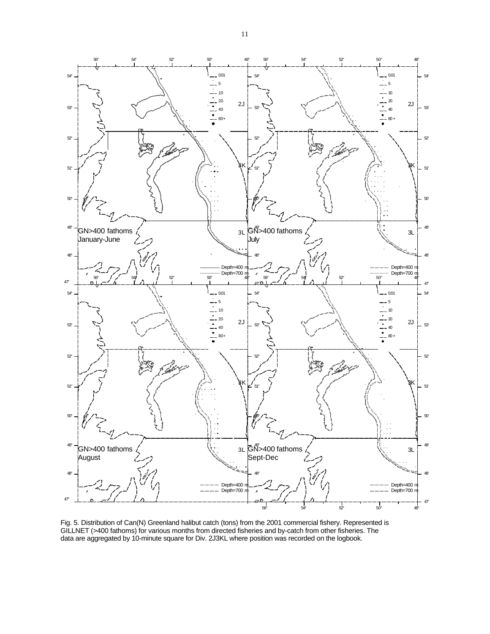

Fig. 5. Distribution of Can(N) Greenland halibut catch (tons) from the 2001 commercial fishery. Represented is GILLNET (>400 fathoms) for various months from directed fisheries and by-catch from other fisheries. The data are aggregated by 10-minute square for Div. 2J3KL where position was recorded on the logbook.